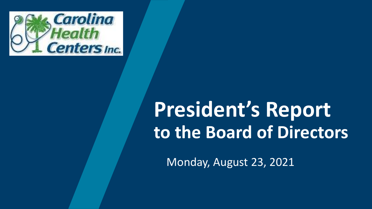

# **President's Report to the Board of Directors**

Monday, August 23, 2021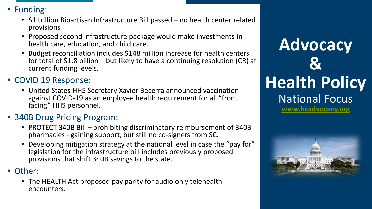- Funding:
	- \$1 trillion Bipartisan Infrastructure Bill passed no health center related provisions
	- Proposed second infrastructure package would make investments in health care, education, and child care.
	- Budget reconciliation includes \$148 million increase for health centers for total of \$1.8 billion – but likely to have a continuing resolution (CR) at current funding levels.
- COVID 19 Response:
	- United States HHS Secretary Xavier Becerra announced vaccination against COVID-19 as an employee health requirement for all "front facing" HHS personnel.
- 340B Drug Pricing Program:
	- PROTECT 340B Bill prohibiting discriminatory reimbursement of 340B pharmacies - gaining support, but still no co-signers from SC.
	- Developing mitigation strategy at the national level in case the "pay for" legislation for the infrastructure bill includes previously proposed provisions that shift 340B savings to the state.
- Other:
	- The HEALTH Act proposed pay parity for audio only telehealth encounters.

# **Advocacy & Health Policy** National Focus **[www.hcadvocacy.org](http://www.hcadvocacy.org/)**

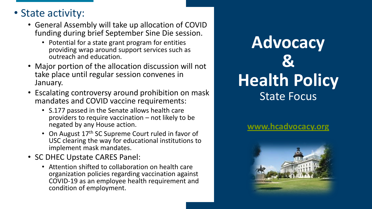### • State activity:

- General Assembly will take up allocation of COVID funding during brief September Sine Die session.
	- Potential for a state grant program for entities providing wrap around support services such as outreach and education.
- Major portion of the allocation discussion will not take place until regular session convenes in January.
- Escalating controversy around prohibition on mask mandates and COVID vaccine requirements:
	- S.177 passed in the Senate allows health care providers to require vaccination – not likely to be negated by any House action.
	- On August 17<sup>th</sup> SC Supreme Court ruled in favor of USC clearing the way for educational institutions to implement mask mandates.
- SC DHEC Upstate CARES Panel:
	- Attention shifted to collaboration on health care organization policies regarding vaccination against COVID-19 as an employee health requirement and condition of employment.

# **Advocacy & Health Policy** State Focus

### **[www.hcadvocacy.org](http://www.hcadvocacy.org/)**

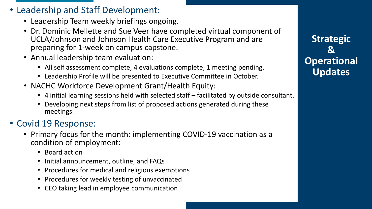- Leadership and Staff Development:
	- Leadership Team weekly briefings ongoing.
	- Dr. Dominic Mellette and Sue Veer have completed virtual component of UCLA/Johnson and Johnson Health Care Executive Program and are preparing for 1-week on campus capstone.
	- Annual leadership team evaluation:
		- All self assessment complete, 4 evaluations complete, 1 meeting pending.
		- Leadership Profile will be presented to Executive Committee in October.
	- NACHC Workforce Development Grant/Health Equity:
		- 4 initial learning sessions held with selected staff facilitated by outside consultant.
		- Developing next steps from list of proposed actions generated during these meetings.

### • Covid 19 Response:

- Primary focus for the month: implementing COVID-19 vaccination as a condition of employment:
	- Board action
	- Initial announcement, outline, and FAQs
	- Procedures for medical and religious exemptions
	- Procedures for weekly testing of unvaccinated
	- CEO taking lead in employee communication

**Strategic & Operational Updates**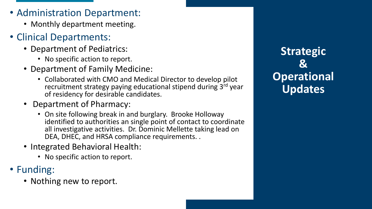- Administration Department:
	- Monthly department meeting.
- Clinical Departments:
	- Department of Pediatrics:
		- No specific action to report.
	- Department of Family Medicine:
		- Collaborated with CMO and Medical Director to develop pilot recruitment strategy paying educational stipend during 3rd year of residency for desirable candidates.
	- Department of Pharmacy:
		- On site following break in and burglary. Brooke Holloway identified to authorities an single point of contact to coordinate all investigative activities. Dr. Dominic Mellette taking lead on DEA, DHEC, and HRSA compliance requirements. .
	- Integrated Behavioral Health:
		- No specific action to report.
- Funding:
	- Nothing new to report.

**Strategic & Operational Updates**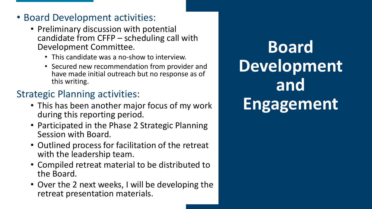### • Board Development activities:

- Preliminary discussion with potential candidate from CFFP – scheduling call with Development Committee.
	- This candidate was a no-show to interview.
	- Secured new recommendation from provider and have made initial outreach but no response as of this writing.

### Strategic Planning activities:

- This has been another major focus of my work during this reporting period.
- Participated in the Phase 2 Strategic Planning Session with Board.
- Outlined process for facilitation of the retreat with the leadership team.
- Compiled retreat material to be distributed to the Board.
- Over the 2 next weeks, I will be developing the retreat presentation materials.

**Board Development and Engagement**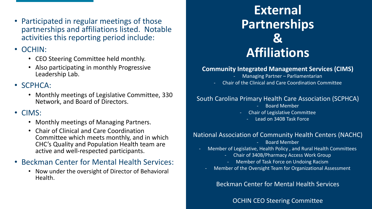• Participated in regular meetings of those partnerships and affiliations listed. Notable activities this reporting period include:

### • OCHIN:

- CEO Steering Committee held monthly.
- Also participating in monthly Progressive Leadership Lab.

### • SCPHCA:

• Monthly meetings of Legislative Committee, 330 Network, and Board of Directors.

### • CIMS:

- Monthly meetings of Managing Partners.
- Chair of Clinical and Care Coordination Committee which meets monthly, and in which CHC's Quality and Population Health team are active and well-respected participants.

### • Beckman Center for Mental Health Services:

• Now under the oversight of Director of Behavioral Health.

## **External Partnerships & Affiliations**

#### **Community Integrated Management Services (CIMS)**

- Managing Partner Parliamentarian
- Chair of the Clinical and Care Coordination Committee

#### South Carolina Primary Health Care Association (SCPHCA)

- Board Member
- Chair of Legislative Committee
	- Lead on 340B Task Force

#### National Association of Community Health Centers (NACHC)

- Board Member
- Member of Legislative, Health Policy , and Rural Health Committees
	- Chair of 340B/Pharmacy Access Work Group
		- Member of Task Force on Undoing Racism
- Member of the Oversight Team for Organizational Assessment

Beckman Center for Mental Health Services

OCHIN CEO Steering Committee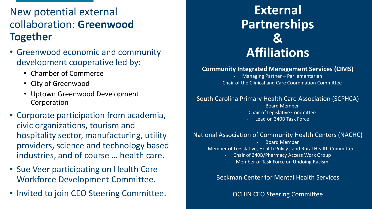### New potential external collaboration: **Greenwood Together**

- Greenwood economic and community development cooperative led by:
	- Chamber of Commerce
	- City of Greenwood
	- Uptown Greenwood Development Corporation
- Corporate participation from academia, civic organizations, tourism and hospitality sector, manufacturing, utility providers, science and technology based industries, and of course … health care.
- Sue Veer participating on Health Care Workforce Development Committee.
- Invited to join CEO Steering Committee.

# **External Partnerships & Affiliations**

#### **Community Integrated Management Services (CIMS)**

- Managing Partner Parliamentarian
- Chair of the Clinical and Care Coordination Committee

#### South Carolina Primary Health Care Association (SCPHCA)

- Board Member
- Chair of Legislative Committee
	- Lead on 340B Task Force

#### National Association of Community Health Centers (NACHC)

- Board Member
- Member of Legislative, Health Policy , and Rural Health Committees
	- Chair of 340B/Pharmacy Access Work Group
		- Member of Task Force on Undoing Racism

Beckman Center for Mental Health Services

OCHIN CEO Steering Committee